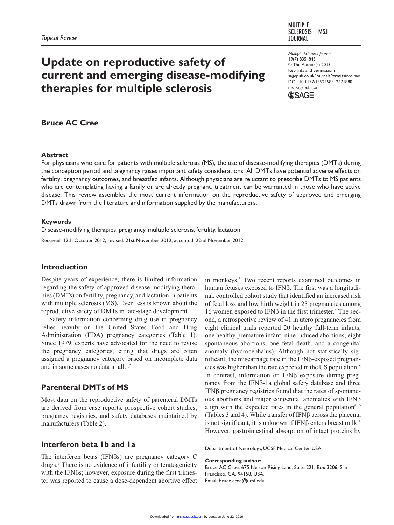#### **MULTIPLE SCLEROSIS MSJ JOURNAL**

# **Update on reproductive safety of current and emerging disease-modifying therapies for multiple sclerosis**

*Multiple Sclerosis Journal* 19(7) 835–843 © The Author(s) 2013 Reprints and permissions: sagepub.co.uk/journalsPermissions.nav DOI: 10.1177/1352458512471880 msj.sagepub.com



# **Bruce AC Cree**

#### **Abstract**

For physicians who care for patients with multiple sclerosis (MS), the use of disease-modifying therapies (DMTs) during the conception period and pregnancy raises important safety considerations. All DMTs have potential adverse effects on fertility, pregnancy outcomes, and breastfed infants. Although physicians are reluctant to prescribe DMTs to MS patients who are contemplating having a family or are already pregnant, treatment can be warranted in those who have active disease. This review assembles the most current information on the reproductive safety of approved and emerging DMTs drawn from the literature and information supplied by the manufacturers.

#### **Keywords**

Disease-modifying therapies, pregnancy, multiple sclerosis, fertility, lactation Received: 12th October 2012; revised: 21st November 2012; accepted: 22nd November 2012

#### **Introduction**

Despite years of experience, there is limited information regarding the safety of approved disease-modifying therapies (DMTs) on fertility, pregnancy, and lactation in patients with multiple sclerosis (MS). Even less is known about the reproductive safety of DMTs in late-stage development.

Safety information concerning drug use in pregnancy relies heavily on the United States Food and Drug Administration (FDA) pregnancy categories (Table 1). Since 1979, experts have advocated for the need to revise the pregnancy categories, citing that drugs are often assigned a pregnancy category based on incomplete data and in some cases no data at all.<sup>1,2</sup>

# **Parenteral DMTs of MS**

Most data on the reproductive safety of parenteral DMTs are derived from case reports, prospective cohort studies, pregnancy registries, and safety databases maintained by manufacturers (Table 2).

## **Interferon beta 1b and 1a**

The interferon betas (IFNβs) are pregnancy category C drugs.3 There is no evidence of infertility or teratogenicity with the IFNβs; however, exposure during the first trimester was reported to cause a dose-dependent abortive effect in monkeys.3 Two recent reports examined outcomes in human fetuses exposed to IFNβ. The first was a longitudinal, controlled cohort study that identified an increased risk of fetal loss and low birth weight in 23 pregnancies among 16 women exposed to IFNβ in the first trimester.<sup>4</sup> The second, a retrospective review of 41 in utero pregnancies from eight clinical trials reported 20 healthy full-term infants, one healthy premature infant, nine induced abortions, eight spontaneous abortions, one fetal death, and a congenital anomaly (hydrocephalus). Although not statistically significant, the miscarriage rate in the IFNβ-exposed pregnancies was higher than the rate expected in the US population.5 In contrast, information on IFNβ exposure during pregnancy from the IFNβ-1a global safety database and three IFNβ pregnancy registries found that the rates of spontaneous abortions and major congenital anomalies with IFNβ align with the expected rates in the general population $6-9$ (Tables 3 and 4). While transfer of IFNβ across the placenta is not significant, it is unknown if IFN $\beta$  enters breast milk.<sup>3</sup> However, gastrointestinal absorption of intact proteins by

Department of Neurology, UCSF Medical Center, USA.

**Corresponding author:**

Bruce AC Cree, 675 Nelson Rising Lane, Suite 221, Box 3206, San Francisco, CA, 94158, USA. Email: bruce.cree@ucsf.edu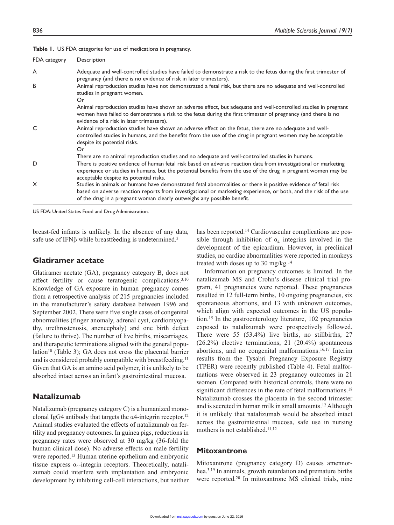| FDA category | Description                                                                                                                                                                                                                                                                                                   |
|--------------|---------------------------------------------------------------------------------------------------------------------------------------------------------------------------------------------------------------------------------------------------------------------------------------------------------------|
| A            | Adequate and well-controlled studies have failed to demonstrate a risk to the fetus during the first trimester of<br>pregnancy (and there is no evidence of risk in later trimesters).                                                                                                                        |
| B            | Animal reproduction studies have not demonstrated a fetal risk, but there are no adequate and well-controlled<br>studies in pregnant women.<br>Or.                                                                                                                                                            |
|              | Animal reproduction studies have shown an adverse effect, but adequate and well-controlled studies in pregnant<br>women have failed to demonstrate a risk to the fetus during the first trimester of pregnancy (and there is no<br>evidence of a risk in later trimesters).                                   |
| C            | Animal reproduction studies have shown an adverse effect on the fetus, there are no adequate and well-<br>controlled studies in humans, and the benefits from the use of the drug in pregnant women may be acceptable<br>despite its potential risks.<br>Or.                                                  |
|              | There are no animal reproduction studies and no adequate and well-controlled studies in humans.                                                                                                                                                                                                               |
| D            | There is positive evidence of human fetal risk based on adverse reaction data from investigational or marketing<br>experience or studies in humans, but the potential benefits from the use of the drug in pregnant women may be<br>acceptable despite its potential risks.                                   |
| X            | Studies in animals or humans have demonstrated fetal abnormalities or there is positive evidence of fetal risk<br>based on adverse reaction reports from investigational or marketing experience, or both, and the risk of the use<br>of the drug in a pregnant woman clearly outweighs any possible benefit. |

**Table 1.** US FDA categories for use of medications in pregnancy.

US FDA: United States Food and Drug Administration.

breast-fed infants is unlikely. In the absence of any data, safe use of IFNβ while breastfeeding is undetermined.<sup>3</sup>

#### **Glatiramer acetate**

Glatiramer acetate (GA), pregnancy category B, does not affect fertility or cause teratogenic complications.3,10 Knowledge of GA exposure in human pregnancy comes from a retrospective analysis of 215 pregnancies included in the manufacturer's safety database between 1996 and September 2002. There were five single cases of congenital abnormalities (finger anomaly, adrenal cyst, cardiomyopathy, urethrostenosis, anencephaly) and one birth defect (failure to thrive). The number of live births, miscarriages, and therapeutic terminations aligned with the general population<sup>10</sup> (Table 3); GA does not cross the placental barrier and is considered probably compatible with breastfeeding.11 Given that GA is an amino acid polymer, it is unlikely to be absorbed intact across an infant's gastrointestinal mucosa.

#### **Natalizumab**

Natalizumab (pregnancy category C) is a humanized monoclonal IgG4 antibody that targets the  $\alpha$ 4-integrin receptor.<sup>12</sup> Animal studies evaluated the effects of natalizumab on fertility and pregnancy outcomes. In guinea pigs, reductions in pregnancy rates were observed at 30 mg/kg (36-fold the human clinical dose). No adverse effects on male fertility were reported.13 Human uterine epithelium and embryonic tissue express  $\alpha_4$ -integrin receptors. Theoretically, natalizumab could interfere with implantation and embryonic development by inhibiting cell-cell interactions, but neither has been reported.<sup>14</sup> Cardiovascular complications are possible through inhibition of  $\alpha_4$  integrins involved in the development of the epicardium. However, in preclinical studies, no cardiac abnormalities were reported in monkeys treated with doses up to 30 mg/kg.14

Information on pregnancy outcomes is limited. In the natalizumab MS and Crohn's disease clinical trial program, 41 pregnancies were reported. These pregnancies resulted in 12 full-term births, 10 ongoing pregnancies, six spontaneous abortions, and 13 with unknown outcomes, which align with expected outcomes in the US population.15 In the gastroenterology literature, 102 pregnancies exposed to natalizumab were prospectively followed. There were 55 (53.4%) live births, no stillbirths, 27 (26.2%) elective terminations, 21 (20.4%) spontaneous abortions, and no congenital malformations.16,17 Interim results from the Tysabri Pregnancy Exposure Registry (TPER) were recently published (Table 4). Fetal malformations were observed in 23 pregnancy outcomes in 21 women. Compared with historical controls, there were no significant differences in the rate of fetal malformations.<sup>18</sup> Natalizumab crosses the placenta in the second trimester and is secreted in human milk in small amounts.12 Although it is unlikely that natalizumab would be absorbed intact across the gastrointestinal mucosa, safe use in nursing mothers is not established.11,12

#### **Mitoxantrone**

Mitoxantrone (pregnancy category D) causes amennorhea.3,19 In animals, growth retardation and premature births were reported.20 In mitoxantrone MS clinical trials, nine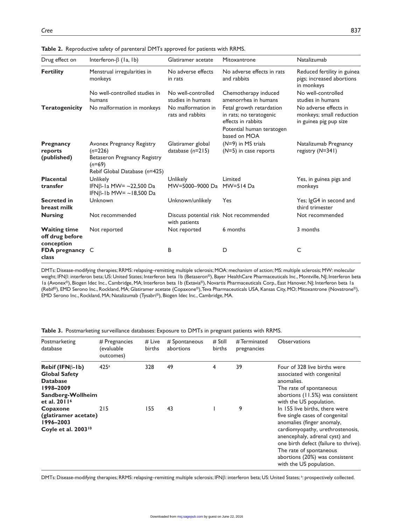| Drug effect on                                       | Interferon- $\beta$ (1a, 1b)                                                                                        | Glatiramer acetate                                      | Mitoxantrone                                                                                                           | Natalizumab                                                                 |
|------------------------------------------------------|---------------------------------------------------------------------------------------------------------------------|---------------------------------------------------------|------------------------------------------------------------------------------------------------------------------------|-----------------------------------------------------------------------------|
| <b>Fertility</b>                                     | Menstrual irregularities in<br>monkeys                                                                              | No adverse effects<br>in rats                           | No adverse effects in rats<br>and rabbits                                                                              | Reduced fertility in guinea<br>pigs; increased abortions<br>in monkeys      |
|                                                      | No well-controlled studies in<br>humans                                                                             | No well-controlled<br>studies in humans                 | Chemotherapy induced<br>amenorrhea in humans                                                                           | No well-controlled<br>studies in humans                                     |
| <b>Teratogenicity</b>                                | No malformation in monkeys                                                                                          | No malformation in<br>rats and rabbits                  | Fetal growth retardation<br>in rats; no teratogenic<br>effects in rabbits<br>Potential human teratogen<br>based on MOA | No adverse effects in<br>monkeys; small reduction<br>in guinea pig pup size |
| Pregnancy<br>reports<br>(published)                  | Avonex Pregnancy Registry<br>$(n=226)$<br>Betaseron Pregnancy Registry<br>$(n=69)$<br>Rebif Global Database (n=425) | Glatiramer global<br>database $(n=215)$                 | $(N=9)$ in MS trials<br>$(N=5)$ in case reports                                                                        | Natalizumab Pregnancy<br>registry (N=341)                                   |
| <b>Placental</b><br>transfer                         | Unlikely<br>IFNB-1a MW= ~22,500 Da<br>IFN $\beta$ -1b MW= ~18,500 Da                                                | <b>Unlikely</b><br>MW=5000-9000 Da                      | Limited<br>$MW=514$ Da                                                                                                 | Yes, in guinea pigs and<br>monkeys                                          |
| <b>Secreted in</b><br>breast milk                    | Unknown                                                                                                             | Unknown/unlikely                                        | Yes                                                                                                                    | Yes; IgG4 in second and<br>third trimester                                  |
| <b>Nursing</b>                                       | Not recommended                                                                                                     | Discuss potential risk Not recommended<br>with patients |                                                                                                                        | Not recommended                                                             |
| <b>Waiting time</b><br>off drug before<br>conception | Not reported                                                                                                        | Not reported                                            | 6 months                                                                                                               | 3 months                                                                    |
| <b>FDA</b> pregnancy C<br>class                      |                                                                                                                     | В                                                       | D                                                                                                                      | C                                                                           |

**Table 2.** Reproductive safety of parenteral DMTs approved for patients with RRMS.

DMTs: Disease-modifying therapies; RRMS: relapsing–remitting multiple sclerosis; MOA: mechanism of action; MS: multiple sclerosis; MW: molecular weight; IFNβ: interferon beta; US: United States; Interferon beta 1b (Betaseron®), Bayer HealthCare Pharmaceuticals Inc., Montville, NJ; Interferon beta 1a (Avonex®), Biogen Idec Inc., Cambridge, MA; Interferon beta 1b (Extavia®), Novartis Pharmaceuticals Corp., East Hanover, NJ; Interferon beta 1a (Rebif®), EMD Serono Inc., Rockland, MA; Glatiramer acetate (Copaxone®), Teva Pharmaceuticals USA, Kansas City, MO; Mitoxantrone (Novatrone®), EMD Serono Inc., Rockland, MA; Natalizumab (Tysabri®), Biogen Idec Inc., Cambridge, MA.

| Table 3. Postmarketing surveillance databases: Exposure to DMTs in pregnant patients with RRMS. |  |  |
|-------------------------------------------------------------------------------------------------|--|--|
|-------------------------------------------------------------------------------------------------|--|--|

| Postmarketing<br>database                                                                                                | $#$ Pregnancies<br>(evaluable<br>outcomes) | $#$ Live<br>births | # Spontaneous<br>abortions | $#$ Still<br><b>births</b> | #Terminated<br>pregnancies | <b>Observations</b>                                                                                                                                                                                                                                                                                    |
|--------------------------------------------------------------------------------------------------------------------------|--------------------------------------------|--------------------|----------------------------|----------------------------|----------------------------|--------------------------------------------------------------------------------------------------------------------------------------------------------------------------------------------------------------------------------------------------------------------------------------------------------|
| Rebif (IFNß-1b)<br><b>Global Safety</b><br><b>Database</b><br>1998-2009<br>Sandberg-Wollheim<br>et al. 2011 <sup>6</sup> | 425a                                       | 328                | 49                         | 4                          | 39                         | Four of 328 live births were<br>associated with congenital<br>anomalies.<br>The rate of spontaneous<br>abortions (11.5%) was consistent<br>with the US population.                                                                                                                                     |
| Copaxone<br>(glatiramer acetate)<br>1996-2003<br>Coyle et al. 2003 <sup>10</sup>                                         | 215                                        | 155                | 43                         |                            | 9                          | In 155 live births, there were<br>five single cases of congenital<br>anomalies (finger anomaly,<br>cardiomyopathy, urethrostenosis,<br>anencephaly, adrenal cyst) and<br>one birth defect (failure to thrive).<br>The rate of spontaneous<br>abortions (20%) was consistent<br>with the US population. |

DMTs: Disease-modifying therapies; RRMS: relapsing–remitting multiple sclerosis; IFNβ: interferon beta; US: United States; ª: prospectively collected.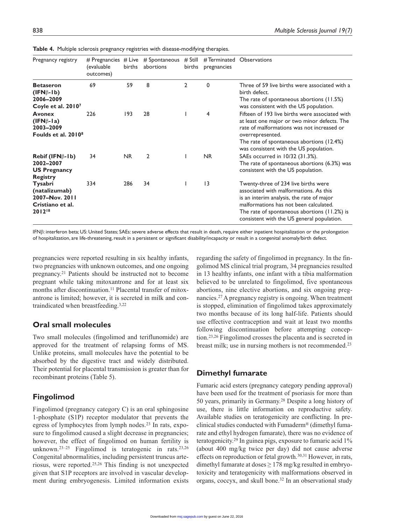| Pregnancy registry                                                                                                     | (evaluable<br>outcomes) | births         | # Pregnancies $#$ Live $#$ Spontaneous<br>abortions | $#$ Still<br>births | #Terminated Observations<br>pregnancies |                                                                                                                                                                                                                                                                       |
|------------------------------------------------------------------------------------------------------------------------|-------------------------|----------------|-----------------------------------------------------|---------------------|-----------------------------------------|-----------------------------------------------------------------------------------------------------------------------------------------------------------------------------------------------------------------------------------------------------------------------|
| <b>Betaseron</b><br>$(IFN\beta-1b)$<br>2006-2009<br>Coyle et al. 2010 <sup>7</sup>                                     | 69                      | 59             | 8                                                   | $\overline{2}$      | $\mathbf 0$                             | Three of 59 live births were associated with a<br>birth defect.<br>The rate of spontaneous abortions (11.5%)<br>was consistent with the US population.                                                                                                                |
| <b>Avonex</b><br>$(IFN\beta-Ia)$<br>2003-2009<br>Foulds et al. 2010 <sup>8</sup>                                       | 226                     | 193            | 28                                                  |                     | 4                                       | Fifteen of 193 live births were associated with<br>at least one major or two minor defects. The<br>rate of malformations was not increased or<br>overrepresented.<br>The rate of spontaneous abortions (12.4%)<br>was consistent with the US population.              |
| $\mathsf{Rebif}(\mathsf{IFN}\beta\text{-}\mathsf{I}\mathsf{b})$<br>2002-2007<br><b>US Pregnancy</b><br><b>Registry</b> | 34                      | N <sub>R</sub> | $\mathfrak{D}$                                      |                     | <b>NR</b>                               | SAEs occurred in 10/32 (31.3%).<br>The rate of spontaneous abortions (6.3%) was<br>consistent with the US population.                                                                                                                                                 |
| Tysabri<br>(natalizumab)<br>2007-Nov. 2011<br>Cristiano et al.<br>201218                                               | 334                     | 286            | 34                                                  |                     | $\overline{13}$                         | Twenty-three of 234 live births were<br>associated with malformations. As this<br>is an interim analysis, the rate of major<br>malformations has not been calculated.<br>The rate of spontaneous abortions $(11.2%)$ is<br>consistent with the US general population. |

**Table 4.** Multiple sclerosis pregnancy registries with disease-modifying therapies.

IFNβ: interferon beta; US: United States; SAEs: severe adverse effects that result in death, require either inpatient hospitalization or the prolongation of hospitalization, are life-threatening, result in a persistent or significant disability/incapacity or result in a congenital anomaly/birth defect.

pregnancies were reported resulting in six healthy infants, two pregnancies with unknown outcomes, and one ongoing pregnancy.21 Patients should be instructed not to become pregnant while taking mitoxantrone and for at least six months after discontinuation.<sup>11</sup> Placental transfer of mitoxantrone is limited; however, it is secreted in milk and contraindicated when breastfeeding.3,22

## **Oral small molecules**

Two small molecules (fingolimod and teriflunomide) are approved for the treatment of relapsing forms of MS. Unlike proteins, small molecules have the potential to be absorbed by the digestive tract and widely distributed. Their potential for placental transmission is greater than for recombinant proteins (Table 5).

## **Fingolimod**

Fingolimod (pregnancy category C) is an oral sphingosine 1-phosphate (S1P) receptor modulator that prevents the egress of lymphocytes from lymph nodes.23 In rats, exposure to fingolimod caused a slight decrease in pregnancies; however, the effect of fingolimod on human fertility is unknown.23–25 Fingolimod is teratogenic in rats.23,26 Congenital abnormalities, including persistent truncus arteriosus, were reported.25,26 This finding is not unexpected given that S1P receptors are involved in vascular development during embryogenesis. Limited information exists regarding the safety of fingolimod in pregnancy. In the fingolimod MS clinical trial program, 34 pregnancies resulted in 13 healthy infants, one infant with a tibia malformation believed to be unrelated to fingolimod, five spontaneous abortions, nine elective abortions, and six ongoing pregnancies.27 A pregnancy registry is ongoing. When treatment is stopped, elimination of fingolimod takes approximately two months because of its long half-life. Patients should use effective contraception and wait at least two months following discontinuation before attempting conception.23,26 Fingolimod crosses the placenta and is secreted in breast milk; use in nursing mothers is not recommended.<sup>23</sup>

## **Dimethyl fumarate**

Fumaric acid esters (pregnancy category pending approval) have been used for the treatment of psoriasis for more than 50 years, primarily in Germany.28 Despite a long history of use, there is little information on reproductive safety. Available studies on teratogenicity are conflicting. In preclinical studies conducted with Fumaderm® (dimethyl fumarate and ethyl hydrogen fumarate), there was no evidence of teratogenicity.29 In guinea pigs, exposure to fumaric acid 1% (about 400 mg/kg twice per day) did not cause adverse effects on reproduction or fetal growth.30,31 However, in rats, dimethyl fumarate at doses  $\geq$  178 mg/kg resulted in embryotoxicity and teratogenicity with malformations observed in organs, coccyx, and skull bone.32 In an observational study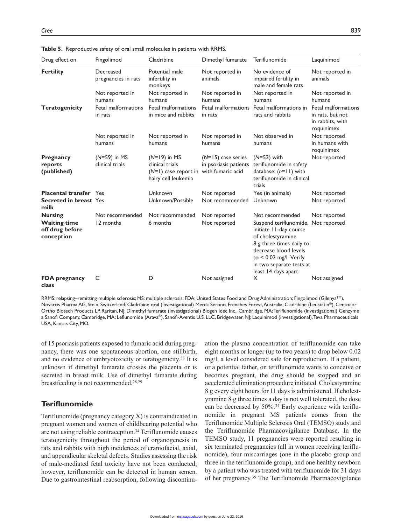| Drug effect on                                       | Fingolimod                        | Cladribine                                                                         | Dimethyl fumarate                                                  | Teriflunomide                                                                                                                           | Laquinimod                                                                |
|------------------------------------------------------|-----------------------------------|------------------------------------------------------------------------------------|--------------------------------------------------------------------|-----------------------------------------------------------------------------------------------------------------------------------------|---------------------------------------------------------------------------|
| <b>Fertility</b>                                     | Decreased<br>pregnancies in rats  | Potential male<br>infertility in<br>monkeys                                        | Not reported in<br>animals                                         | No evidence of<br>impaired fertility in<br>male and female rats                                                                         | Not reported in<br>animals                                                |
|                                                      | Not reported in<br>humans         | Not reported in<br>humans                                                          | Not reported in<br>humans                                          | Not reported in<br>humans                                                                                                               | Not reported in<br>humans                                                 |
| <b>Teratogenicity</b>                                | Fetal malformations<br>in rats    | Fetal malformations<br>in mice and rabbits                                         | Fetal malformations<br>in rats                                     | Fetal malformations in<br>rats and rabbits                                                                                              | Fetal malformations<br>in rats, but not<br>in rabbits, with<br>roquinimex |
|                                                      | Not reported in<br>humans         | Not reported in<br>humans                                                          | Not reported in<br>humans                                          | Not observed in<br>humans                                                                                                               | Not reported<br>in humans with<br>roquinimex                              |
| <b>Pregnancy</b><br>reports<br>(published)           | $(N=59)$ in MS<br>clinical trials | $(N=19)$ in MS<br>clinical trials<br>$(N=1)$ case report in<br>hairy cell leukemia | $(N=15)$ case series<br>in psoriasis patients<br>with fumaric acid | $(N=53)$ with<br>teriflunomide in safety<br>database; $(n=11)$ with<br>teriflunomide in clinical<br>trials                              | Not reported                                                              |
| <b>Placental transfer</b> Yes                        |                                   | Unknown                                                                            | Not reported                                                       | Yes (in animals)                                                                                                                        | Not reported                                                              |
| <b>Secreted in breast Yes</b><br>milk                |                                   | Unknown/Possible                                                                   | Not recommended                                                    | Unknown                                                                                                                                 | Not reported                                                              |
| <b>Nursing</b>                                       | Not recommended                   | Not recommended                                                                    | Not reported                                                       | Not recommended                                                                                                                         | Not reported                                                              |
| <b>Waiting time</b><br>off drug before<br>conception | 12 months                         | 6 months                                                                           | Not reported                                                       | Suspend teriflunomide, Not reported<br>initiate 11-day course<br>of cholestyramine<br>8 g three times daily to<br>decrease blood levels |                                                                           |

**Table 5.** Reproductive safety of oral small molecules in patients with RRMS.

**FDA pregnancy class** C D Not assigned X Not assigned RRMS: relapsing–remitting multiple sclerosis; MS: multiple sclerosis; FDA: United States Food and Drug Administration; Fingolimod (Gilenya™), Novartis Pharma AG, Stein, Switzerland; Cladribine oral (investigational) Merck Serono, Frenches Forest, Australia; Cladribine (Leustatin®), Centocor

Ortho Biotech Products LP, Raritan, NJ; Dimethyl fumarate (investigational) Biogen Idec Inc., Cambridge, MA; Teriflunomide (investigational) Genzyme a Sanofi Company, Cambridge, MA; Leflunomide (Arava®), Sanofi-Aventis U.S. LLC, Bridgewater, NJ; Laquinimod (investigational), Teva Pharmaceuticals USA, Kansas City, MO.

of 15 psoriasis patients exposed to fumaric acid during pregnancy, there was one spontaneous abortion, one stillbirth, and no evidence of embryotoxicity or teratogenicity.33 It is unknown if dimethyl fumarate crosses the placenta or is secreted in breast milk. Use of dimethyl fumarate during breastfeeding is not recommended.28,29

## **Teriflunomide**

Teriflunomide (pregnancy category X) is contraindicated in pregnant women and women of childbearing potential who are not using reliable contraception.<sup>34</sup> Teriflunomide causes teratogenicity throughout the period of organogenesis in rats and rabbits with high incidences of craniofacial, axial, and appendicular skeletal defects. Studies assessing the risk of male-mediated fetal toxicity have not been conducted; however, teriflunomide can be detected in human semen. Due to gastrointestinal reabsorption, following discontinuation the plasma concentration of teriflunomide can take eight months or longer (up to two years) to drop below 0.02 mg/l, a level considered safe for reproduction. If a patient, or a potential father, on teriflunomide wants to conceive or becomes pregnant, the drug should be stopped and an accelerated elimination procedure initiated. Cholestyramine 8 g every eight hours for 11 days is administered. If cholestyramine 8 g three times a day is not well tolerated, the dose can be decreased by 50%.<sup>34</sup> Early experience with teriflunomide in pregnant MS patients comes from the Teriflunomide Multiple Sclerosis Oral (TEMSO) study and the Teriflunomide Pharmacovigilance Database. In the TEMSO study, 11 pregnancies were reported resulting in six terminated pregnancies (all in women receiving teriflunomide), four miscarriages (one in the placebo group and three in the teriflunomide group), and one healthy newborn by a patient who was treated with teriflunomide for 31 days of her pregnancy.35 The Teriflunomide Pharmacovigilance

to < 0.02 mg/l. Verify in two separate tests at least 14 days apart.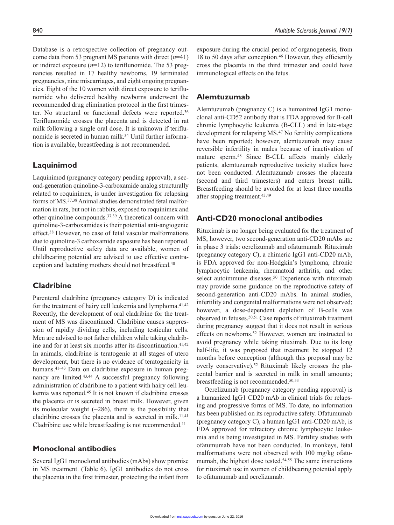Database is a retrospective collection of pregnancy outcome data from 53 pregnant MS patients with direct (*n*=41) or indirect exposure (*n*=12) to teriflunomide. The 53 pregnancies resulted in 17 healthy newborns, 19 terminated pregnancies, nine miscarriages, and eight ongoing pregnancies. Eight of the 10 women with direct exposure to teriflunomide who delivered healthy newborns underwent the recommended drug elimination protocol in the first trimester. No structural or functional defects were reported.36 Teriflunomide crosses the placenta and is detected in rat milk following a single oral dose. It is unknown if teriflunomide is secreted in human milk.<sup>34</sup> Until further information is available, breastfeeding is not recommended.

## **Laquinimod**

Laquinimod (pregnancy category pending approval), a second-generation quinoline-3-carboxamide analog structurally related to roquinimex, is under investigation for relapsing forms of MS.37,38 Animal studies demonstrated fetal malformation in rats, but not in rabbits, exposed to roquinimex and other quinoline compounds.37,39 A theoretical concern with quinoline-3-carboxamides is their potential anti-angiogenic effect.38 However, no case of fetal vascular malformations due to quinoline-3 carboxamide exposure has been reported. Until reproductive safety data are available, women of childbearing potential are advised to use effective contraception and lactating mothers should not breastfeed.40

## **Cladribine**

Parenteral cladribine (pregnancy category D) is indicated for the treatment of hairy cell leukemia and lymphoma.<sup>41,42</sup> Recently, the development of oral cladribine for the treatment of MS was discontinued. Cladribine causes suppression of rapidly dividing cells, including testicular cells. Men are advised to not father children while taking cladribine and for at least six months after its discontinuation.<sup>41,42</sup> In animals, cladribine is teratogenic at all stages of utero development, but there is no evidence of teratogenicity in humans.<sup>41–43</sup> Data on cladribine exposure in human pregnancy are limited.43,44 A successful pregnancy following administration of cladribine to a patient with hairy cell leukemia was reported.45 It is not known if cladribine crosses the placenta or is secreted in breast milk. However, given its molecular weight  $(\sim 286)$ , there is the possibility that cladribine crosses the placenta and is secreted in milk.<sup>11,41</sup> Cladribine use while breastfeeding is not recommended.<sup>11</sup>

## **Monoclonal antibodies**

Several IgG1 monoclonal antibodies (mAbs) show promise in MS treatment. (Table 6). IgG1 antibodies do not cross the placenta in the first trimester, protecting the infant from exposure during the crucial period of organogenesis, from 18 to 50 days after conception.46 However, they efficiently cross the placenta in the third trimester and could have immunological effects on the fetus.

#### **Alemtuzumab**

Alemtuzumab (pregnancy C) is a humanized IgG1 monoclonal anti-CD52 antibody that is FDA approved for B-cell chronic lymphocytic leukemia (B-CLL) and in late-stage development for relapsing MS.47 No fertility complications have been reported; however, alemtuzumab may cause reversible infertility in males because of inactivation of mature sperm.48 Since B-CLL affects mainly elderly patients, alemtuzumab reproductive toxicity studies have not been conducted. Alemtuzumab crosses the placenta (second and third trimesters) and enters breast milk. Breastfeeding should be avoided for at least three months after stopping treatment.43,49

## **Anti-CD20 monoclonal antibodies**

Rituximab is no longer being evaluated for the treatment of MS; however, two second-generation anti-CD20 mAbs are in phase 3 trials: ocrelizumab and ofatumumab. Rituximab (pregnancy category C), a chimeric IgG1 anti-CD20 mAb, is FDA approved for non-Hodgkin's lymphoma, chronic lymphocytic leukemia, rheumatoid arthritis, and other select autoimmune diseases.<sup>50</sup> Experience with rituximab may provide some guidance on the reproductive safety of second-generation anti-CD20 mAbs. In animal studies, infertility and congenital malformations were not observed; however, a dose-dependent depletion of B-cells was observed in fetuses.50,51 Case reports of rituximab treatment during pregnancy suggest that it does not result in serious effects on newborns.<sup>52</sup> However, women are instructed to avoid pregnancy while taking rituximab. Due to its long half-life, it was proposed that treatment be stopped 12 months before conception (although this proposal may be overly conservative).52 Rituximab likely crosses the placental barrier and is secreted in milk in small amounts; breastfeeding is not recommended.50,53

Ocrelizumab (pregnancy category pending approval) is a humanized IgG1 CD20 mAb in clinical trials for relapsing and progressive forms of MS. To date, no information has been published on its reproductive safety. Ofatumumab (pregnancy category C), a human IgG1 anti-CD20 mAb, is FDA approved for refractory chronic lymphocytic leukemia and is being investigated in MS. Fertility studies with ofatumumab have not been conducted. In monkeys, fetal malformations were not observed with 100 mg/kg ofatumumab, the highest dose tested.<sup>54,55</sup> The same instructions for rituximab use in women of childbearing potential apply to ofatumumab and ocrelizumab.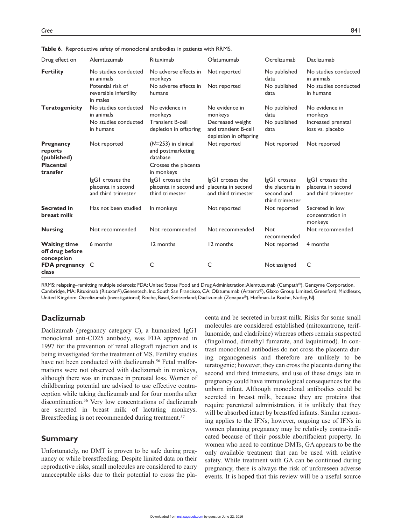| Drug effect on                                                             | Alemtuzumab                                                   | Rituximab                                                                                    | Ofatumumab                                                         | Ocrelizumab                                                      | Daclizumab                                                    |
|----------------------------------------------------------------------------|---------------------------------------------------------------|----------------------------------------------------------------------------------------------|--------------------------------------------------------------------|------------------------------------------------------------------|---------------------------------------------------------------|
| <b>Fertility</b>                                                           | No studies conducted<br>in animals                            | No adverse effects in<br>monkeys                                                             | Not reported                                                       | No published<br>data                                             | No studies conducted<br>in animals                            |
|                                                                            | Potential risk of<br>reversible infertility<br>in males       | No adverse effects in<br>humans                                                              | Not reported                                                       | No published<br>data                                             | No studies conducted<br>in humans                             |
| <b>Teratogenicity</b>                                                      | No studies conducted<br>in animals                            | No evidence in<br>monkeys                                                                    | No evidence in<br>monkeys                                          | No published<br>data                                             | No evidence in<br>monkeys                                     |
|                                                                            | No studies conducted<br>in humans                             | <b>Transient B-cell</b><br>depletion in offspring                                            | Decreased weight<br>and transient B-cell<br>depletion in offspring | No published<br>data                                             | Increased prenatal<br>loss vs. placebo                        |
| <b>Pregnancy</b><br>reports<br>(published)<br><b>Placental</b><br>transfer | Not reported                                                  | $(N=253)$ in clinical<br>and postmarketing<br>database<br>Crosses the placenta<br>in monkeys | Not reported                                                       | Not reported                                                     | Not reported                                                  |
|                                                                            | IgGI crosses the<br>placenta in second<br>and third trimester | IgGI crosses the<br>placenta in second and placenta in second<br>third trimester             | IgGI crosses the<br>and third trimester                            | IgGI crosses<br>the placenta in<br>second and<br>third trimester | IgGI crosses the<br>placenta in second<br>and third trimester |
| <b>Secreted in</b><br>breast milk                                          | Has not been studied                                          | In monkeys                                                                                   | Not reported                                                       | Not reported                                                     | Secreted in low<br>concentration in<br>monkeys                |
| <b>Nursing</b>                                                             | Not recommended                                               | Not recommended                                                                              | Not recommended                                                    | <b>Not</b><br>recommended                                        | Not recommended                                               |
| <b>Waiting time</b><br>off drug before<br>conception                       | 6 months                                                      | 12 months                                                                                    | 12 months                                                          | Not reported                                                     | 4 months                                                      |
| <b>FDA</b> pregnancy C<br>class                                            |                                                               | C                                                                                            | C                                                                  | Not assigned                                                     | C                                                             |

**Table 6.** Reproductive safety of monoclonal antibodies in patients with RRMS.

RRMS: relapsing–remitting multiple sclerosis; FDA: United States Food and Drug Administration; Alemtuzumab (Campath®), Genzyme Corporation, Cambridge, MA; Rituximab (Rituxan®),Genentech, Inc. South San Francisco, CA; Ofatumumab (Arzerra®), Glaxo Group Limited, Greenford, Middlesex, United Kingdom; Ocrelizumab (investigational) Roche, Basel, Switzerland; Daclizumab (Zenapax®), Hoffman-La Roche, Nutley, NJ.

## **Daclizumab**

Daclizumab (pregnancy category C), a humanized IgG1 monoclonal anti-CD25 antibody, was FDA approved in 1997 for the prevention of renal allograft rejection and is being investigated for the treatment of MS. Fertility studies have not been conducted with daclizumab.<sup>56</sup> Fetal malformations were not observed with daclizumab in monkeys, although there was an increase in prenatal loss. Women of childbearing potential are advised to use effective contraception while taking daclizumab and for four months after discontinuation.56 Very low concentrations of daclizumab are secreted in breast milk of lactating monkeys. Breastfeeding is not recommended during treatment.<sup>57</sup>

#### **Summary**

Unfortunately, no DMT is proven to be safe during pregnancy or while breastfeeding. Despite limited data on their reproductive risks, small molecules are considered to carry unacceptable risks due to their potential to cross the placenta and be secreted in breast milk. Risks for some small molecules are considered established (mitoxantrone, teriflunomide, and cladribine) whereas others remain suspected (fingolimod, dimethyl fumarate, and laquinimod). In contrast monoclonal antibodies do not cross the placenta during organogenesis and therefore are unlikely to be teratogenic; however, they can cross the placenta during the second and third trimesters, and use of these drugs late in pregnancy could have immunological consequences for the unborn infant. Although monoclonal antibodies could be secreted in breast milk, because they are proteins that require parenteral administration, it is unlikely that they will be absorbed intact by breastfed infants. Similar reasoning applies to the IFNs; however, ongoing use of IFNs in women planning pregnancy may be relatively contra-indicated because of their possible abortifacient property. In women who need to continue DMTs, GA appears to be the only available treatment that can be used with relative safety. While treatment with GA can be continued during pregnancy, there is always the risk of unforeseen adverse events. It is hoped that this review will be a useful source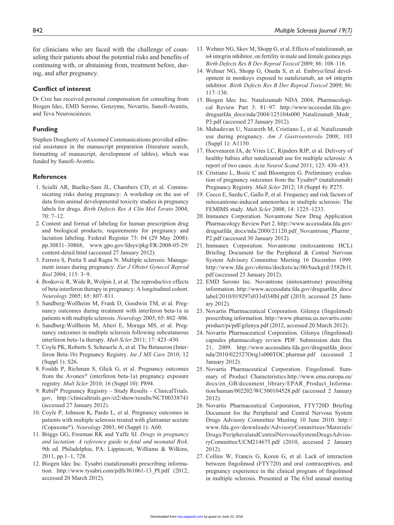for clinicians who are faced with the challenge of counseling their patients about the potential risks and benefits of continuing with, or abstaining from, treatment before, during, and after pregnancy.

#### **Conflict of interest**

Dr Cree has received personal compensation for consulting from Biogen Idec, EMD Serono, Genzyme, Novartis, Sanofi-Aventis, and Teva Neurosciences.

#### **Funding**

Stephen Dougherty of Axiomed Communications provided editorial assistance in the manuscript preparation (literature search, formatting of manuscript, development of tables), which was funded by Sanofi-Aventis.

#### **References**

- 1. Scialli AR, Buelke-Sam JL, Chambers CD, et al. Communicating risks during pregnancy: A workshop on the use of data from animal developmental toxicity studies in pregnancy labels for drugs. *Birth Defects Res A Clin Mol Terato* 2004; 70: 7–12.
- 2. Content and format of labeling for human prescription drug and biological products; requirements for pregnancy and lactation labeling. Federal Register 73: 04 (29 May 2008): pp.30831–30868, www.gpo.gov/fdsys/pkg/FR-2008-05-29/ content-detail.html (accessed 27 January 2012).
- 3. Ferrero S, Pretta S and Ragni N. Multiple sclerosis: Management issues during pregnancy. *Eur J Obstet Gynecol Reprod Biol* 2004; 115: 3–9.
- 4. Boskovic R, Wide R, Wolpin J, et al. The reproductive effects of beta interferon therapy in pregnancy: A longitudinal cohort. *Neurology* 2005; 65: 807–811.
- 5. Sandberg-Wollheim M, Frank D, Goodwin TM, et al. Pregnancy outcomes during treatment with interferon beta-1a in patients with multiple sclerosis. *Neurology* 2005; 65: 802–806.
- 6. Sandberg-Wollheim M, Alteri E, Moraga MS, et al. Pregnancy outcomes in multiple sclerosis following subcutaneous interferon beta-1a therapy. *Mult Scler* 2011; 17: 423–430.
- 7. Coyle PK, Roberts S, Scheuerle A, et al. The Betaseron (Interferon Beta-1b) Pregnancy Registry. *Int J MS Care* 2010; 12 (Suppl 1): S26.
- 8. Foulds P, Richman S, Glick G, et al. Pregnancy outcomes from the Avonex® (interferon beta-1a) pregnancy exposure registry. *Mult Scler* 2010; 16 (Suppl 10): P894.
- 9. Rebif® Pregnancy Registry Study Results ClinicalTrials. gov, http://clinicaltrials.gov/ct2/show/results/NCT00338741 (accessed 27 January 2012).
- 10. Coyle P, Johnson K, Pardo L, et al. Pregnancy outcomes in patients with multiple sclerosis treated with glatiramer acetate (Copaxone®). *Neurology* 2003; 60 (Suppl 1): A60.
- 11. Briggs GG, Freeman RK and Yaffe SJ. *Drugs in pregnancy and lactation: A reference guide to fetal and neonatal Risk*. 9th ed. Philadelphia, PA: Lippincott, Williams & Wilkins, 2011, pp.1–1, 728.
- 12. Biogen Idec Inc. Tysabri (natalizumab) prescribing information. http://www.tysabri.com/pdfs/I61061-13\_PI.pdf (2012, accessed 20 March 2012).
- 13. Wehner NG, Skov M, Shopp G, et al. Effects of natalizumab, an α4 integrin inhibitor, on fertility in male and female guinea pigs. *Birth Defects Res B Dev Reprod Toxicol* 2009; 86: 108–116.
- 14. Wehner NG, Shopp G, Oneda S, et al. Embryo/fetal development in monkeys exposed to natalizumab, an α4 integrin inhibitor. *Birth Defects Res B Dev Reprod Toxicol* 2009; 86: 117–130.
- 15. Biogen Idec Inc. Natalizumab NDA 2004, Pharmacological Review Part 3: 81–97. http://www/accessdat.fda.gov. drugsatfda\_docs/nda/2004/125104s000\_Natalizumab\_Medr\_ P3.pdf (accessed 27 January 2012).
- 16. Mahadevan U, Nazareth M, Cristiano L, et al. Natalizumab use during pregnancy. *Am J Gastroenterolo* 2008; 103 (Suppl 1): A1150.
- 17. Hoevenaren IA, de Vries LC, Rijnders RJP, et al. Delivery of healthy babies after natalizumab use for multiple sclerosis: A report of two cases. *Acta Neurol Scand* 2011; 123: 430–433.
- 18. Cristiano L, Bozic C and Bloomgren G. Preliminary evaluation of pregnancy outcomes from the Tysabri® (natalizumab) Pregnancy Registry. *Mult Scler* 2012; 18 (Suppl 4): P275.
- 19. Cocco E, Sardu C, Gallo P, et al. Frequency and risk factors of mitoxantrone-induced amenorrhea in multiple sclerosis: The FEMIMS study. *Mult Scler* 2008; 14: 1225–1233.
- 20. Immunex Corporation. Novantrone New Drug Application Pharmacology Review Part 2. http://www.accessdata.fda.gov/ drugsatfda\_docs/nda/2000/21120.pdf\_Novantrone\_Pharmr\_ P2.pdf (accessed 30 January 2012).
- 21. Immunex Corporation. Novantrone (mitoxantrone HCL) Briefing Document for the Peripheral & Central Nervous System Advisory Committee Meeting 16 December 1999. http://www.fda.gov/ohrms/dockets/ac/00/backgrd/3582b1l. pdf (accessed 25 January 2012).
- 22. EMD Serono Inc. Novantrone (mitoxantrone) prescribing information. http://www.accessdata.fda.gov/drugsatfda\_docs/ label/2010/019297s033s034lbl.pdf (2010, accessed 25 January 2012).
- 23. Novartis Pharmaceutical Corporation. Gilenya (fingolimod) prescribing information. http://www.pharma.us.novartis.com/ product/pi/pdf/gilenya.pdf (2012, accessed 20 March 2012).
- 24. Novartis Pharmaceutical Corporation. Gilenya (fingolimod) capsules pharmacology review PDF. Submission date Dec 21, 2009. http://www.accessdata.fda.gov/drugsatfda\_docs/ nda/2010/022527Orig1s000TOC.pharmar.pdf (accessed 2 January 2012).
- 25. Novartis Pharmaceutical Corporation. Fingolimod. Summary of Product Characteristics.http://www.ema.europa.eu/ docs/en\_GB/document\_library/EPAR\_Product\_Information/human/002202/WC500104528.pdf (accessed 2 January 2012).
- 26. Novartis Pharmaceutical Corporation, FTY720D Briefing Document for the Peripheral and Central Nervous System Drugs Advisory Committee Meeting 10 June 2010. http:// www.fda.gov/downloads/AdvisoryCommittees/Materials/ Drugs/PeripheralandCentralNervousSystemDrugsAdvisoryCommittee/UCM214675.pdf (2010, accessed 2 January 2012).
- 27. Collins W, Francis G, Koren G, et al. Lack of interaction between fingolimod (FTY720) and oral contraceptives, and pregnancy experience in the clinical program of fingolimod in multiple sclerosis. Presented at The 63rd annual meeting